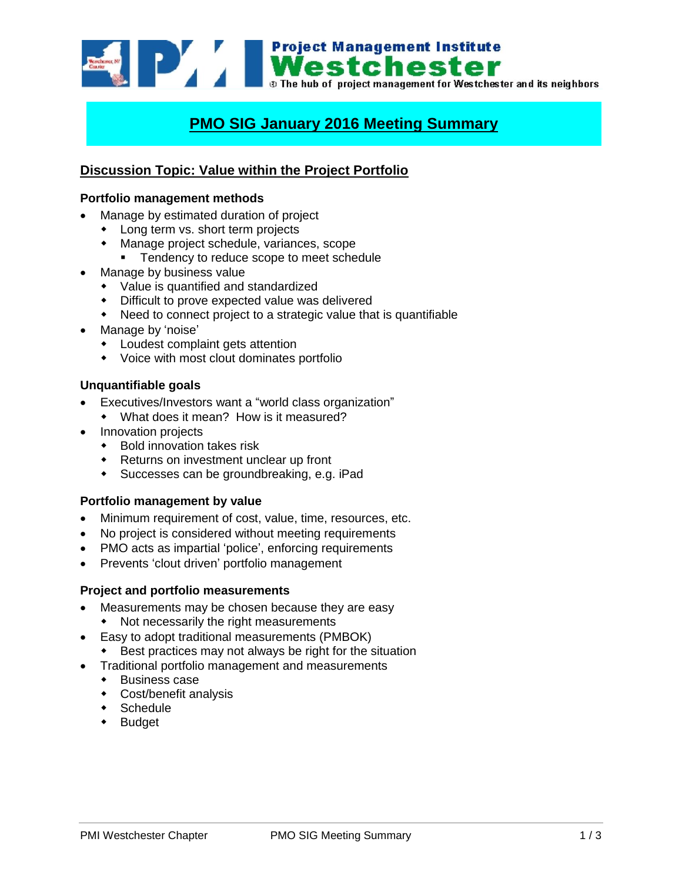**Example 1998 Mestchester**<br>**Mestchester**<br>**Mestchester** and its neighbors<br>**Mestchester** and its neighbors

# **PMO SIG January 2016 Meeting Summary**

# **Discussion Topic: Value within the Project Portfolio**

### **Portfolio management methods**

- Manage by estimated duration of project
	- Long term vs. short term projects
	- Manage project schedule, variances, scope
		- **Tendency to reduce scope to meet schedule**
- Manage by business value
	- Value is quantified and standardized
	- Difficult to prove expected value was delivered
	- Need to connect project to a strategic value that is quantifiable
- Manage by 'noise'
	- Loudest complaint gets attention
	- Voice with most clout dominates portfolio

#### **Unquantifiable goals**

- Executives/Investors want a "world class organization"
	- What does it mean? How is it measured?
- Innovation projects
	- ◆ Bold innovation takes risk
	- Returns on investment unclear up front
	- Successes can be groundbreaking, e.g. iPad

#### **Portfolio management by value**

- Minimum requirement of cost, value, time, resources, etc.
- No project is considered without meeting requirements
- PMO acts as impartial 'police', enforcing requirements
- Prevents 'clout driven' portfolio management

#### **Project and portfolio measurements**

- Measurements may be chosen because they are easy
	- Not necessarily the right measurements
- Easy to adopt traditional measurements (PMBOK)
	- Best practices may not always be right for the situation
- Traditional portfolio management and measurements
	- Business case
	- Cost/benefit analysis
	- Schedule
	- Budget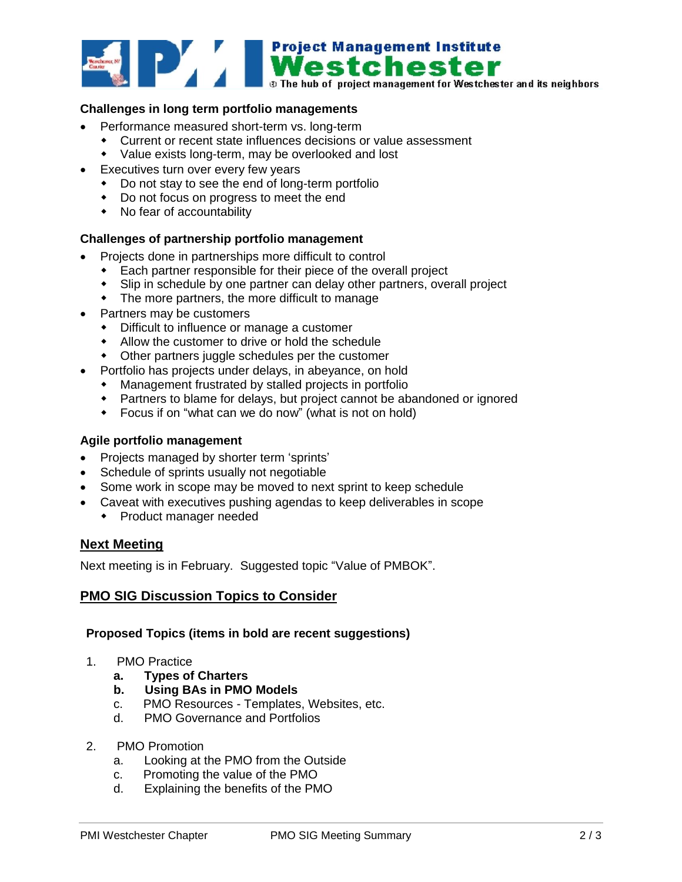

# **Challenges in long term portfolio managements**

- Performance measured short-term vs. long-term
	- Current or recent state influences decisions or value assessment
	- Value exists long-term, may be overlooked and lost
- Executives turn over every few years
	- Do not stay to see the end of long-term portfolio
	- Do not focus on progress to meet the end
	- No fear of accountability

# **Challenges of partnership portfolio management**

- Projects done in partnerships more difficult to control
	- Each partner responsible for their piece of the overall project
	- Slip in schedule by one partner can delay other partners, overall project
	- The more partners, the more difficult to manage
- Partners may be customers
	- Difficult to influence or manage a customer
	- Allow the customer to drive or hold the schedule
	- Other partners juggle schedules per the customer
- Portfolio has projects under delays, in abeyance, on hold
	- Management frustrated by stalled projects in portfolio
	- Partners to blame for delays, but project cannot be abandoned or ignored
	- Focus if on "what can we do now" (what is not on hold)

#### **Agile portfolio management**

- Projects managed by shorter term 'sprints'
- Schedule of sprints usually not negotiable
- Some work in scope may be moved to next sprint to keep schedule
- Caveat with executives pushing agendas to keep deliverables in scope
	- Product manager needed

# **Next Meeting**

Next meeting is in February. Suggested topic "Value of PMBOK".

# **PMO SIG Discussion Topics to Consider**

#### **Proposed Topics (items in bold are recent suggestions)**

- 1. PMO Practice
	- **a. Types of Charters**
	- **b. Using BAs in PMO Models**
	- c. PMO Resources Templates, Websites, etc.
	- d. PMO Governance and Portfolios
- 2. PMO Promotion
	- a. Looking at the PMO from the Outside
	- c. Promoting the value of the PMO
	- d. Explaining the benefits of the PMO